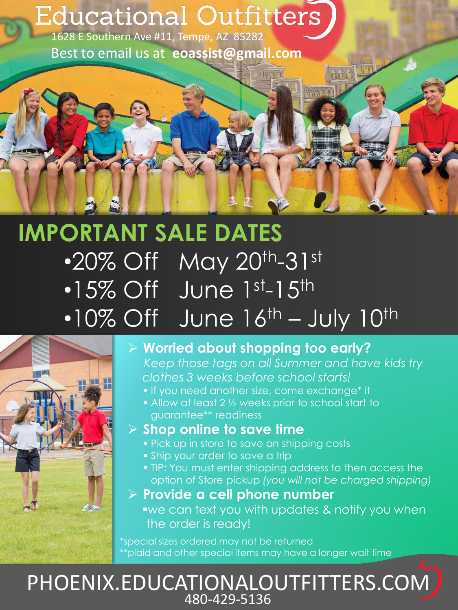# Educational Outfitters

1628 E Southern Ave #11, Tempe, AZ 85282 Best to email us at **eoassist@gmail.com**

# **IMPORTANT SALE DATES** •20% Off May 20th-31st  $\cdot$ 15% Off June 1st-15th  $\cdot$ 10% Off June  $16^{\text{th}}$  – July  $10^{\text{th}}$



## ➢ **Worried about shopping too early?**

*Keep those tags on all Summer and have kids try clothes 3 weeks before school starts!*

- **If you need another size, come exchange\* it**
- Allow at least 2 ½ weeks prior to school start to guarantee\*\* readiness

### ➢ **Shop online to save time**

- **Pick up in store to save on shipping costs**
- **.** Ship your order to save a trip
- **. TIP: You must enter shipping address to then access the** option of Store pickup *(you will not be charged shipping)*
- ➢ **Provide a cell phone number** 
	- ▪we can text you with updates & notify you when the order is ready!

\*special sizes ordered may not be returned \*\*plaid and other special items may have a longer wait time

## PHOENIX.EDUCATIONALOUTFITTERS.COM 480-429-5136